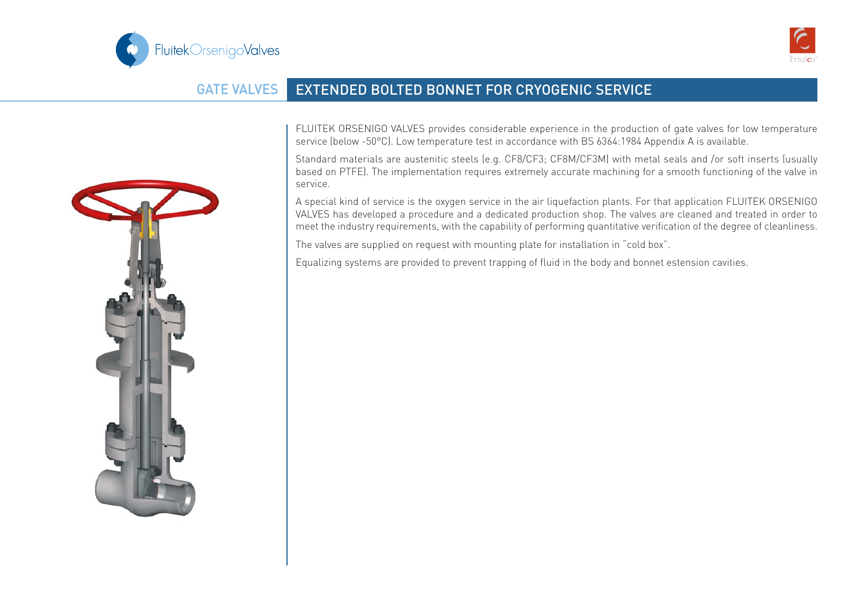



## GATE VALVES EXTENDED BOLTED BONNET FOR CRYOGENIC SERVICE



FLUITEK ORSENIGO VALVES provides considerable experience in the production of gate valves for low temperature service (below -50°C). Low temperature test in accordance with BS 6364:1984 Appendix A is available.

Standard materials are austenitic steels (e.g. CF8/CF3; CF8M/CF3M) with metal seals and /or soft inserts (usually based on PTFE). The implementation requires extremely accurate machining for a smooth functioning of the valve in service.

A special kind of service is the oxygen service in the air liquefaction plants. For that application FLUITEK ORSENIGO VALVES has developed a procedure and a dedicated production shop. The valves are cleaned and treated in order to meet the industry requirements, with the capability of performing quantitative verification of the degree of cleanliness.

The valves are supplied on request with mounting plate for installation in "cold box".

Equalizing systems are provided to prevent trapping of fluid in the body and bonnet estension cavities.